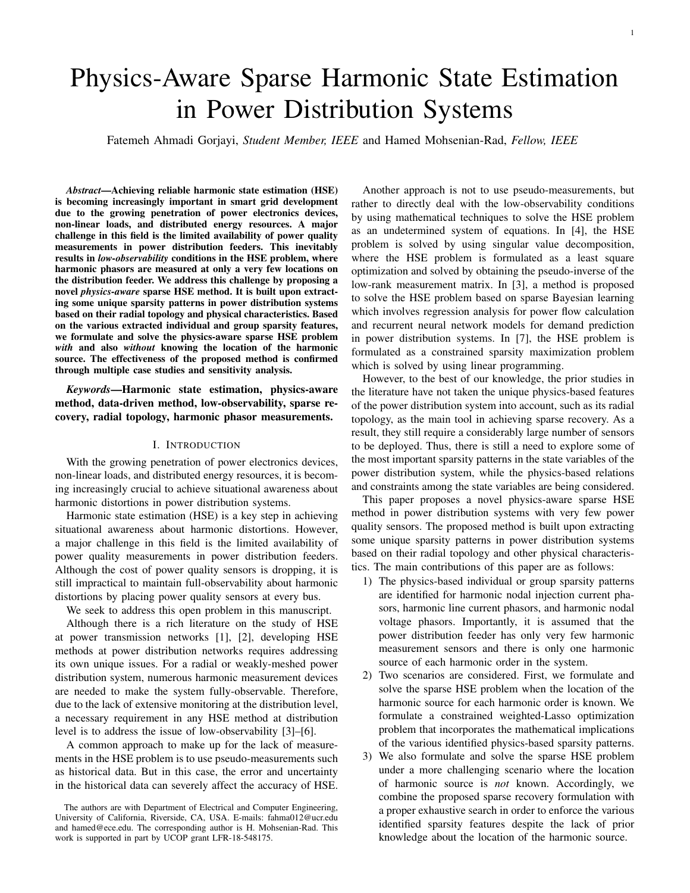1

# Physics-Aware Sparse Harmonic State Estimation in Power Distribution Systems

Fatemeh Ahmadi Gorjayi, *Student Member, IEEE* and Hamed Mohsenian-Rad, *Fellow, IEEE*

*Abstract*—Achieving reliable harmonic state estimation (HSE) is becoming increasingly important in smart grid development due to the growing penetration of power electronics devices, non-linear loads, and distributed energy resources. A major challenge in this field is the limited availability of power quality measurements in power distribution feeders. This inevitably results in *low-observability* conditions in the HSE problem, where harmonic phasors are measured at only a very few locations on the distribution feeder. We address this challenge by proposing a novel *physics-aware* sparse HSE method. It is built upon extracting some unique sparsity patterns in power distribution systems based on their radial topology and physical characteristics. Based on the various extracted individual and group sparsity features, we formulate and solve the physics-aware sparse HSE problem *with* and also *without* knowing the location of the harmonic source. The effectiveness of the proposed method is confirmed through multiple case studies and sensitivity analysis.

*Keywords*—Harmonic state estimation, physics-aware method, data-driven method, low-observability, sparse recovery, radial topology, harmonic phasor measurements.

## I. INTRODUCTION

With the growing penetration of power electronics devices, non-linear loads, and distributed energy resources, it is becoming increasingly crucial to achieve situational awareness about harmonic distortions in power distribution systems.

Harmonic state estimation (HSE) is a key step in achieving situational awareness about harmonic distortions. However, a major challenge in this field is the limited availability of power quality measurements in power distribution feeders. Although the cost of power quality sensors is dropping, it is still impractical to maintain full-observability about harmonic distortions by placing power quality sensors at every bus.

We seek to address this open problem in this manuscript.

Although there is a rich literature on the study of HSE at power transmission networks [1], [2], developing HSE methods at power distribution networks requires addressing its own unique issues. For a radial or weakly-meshed power distribution system, numerous harmonic measurement devices are needed to make the system fully-observable. Therefore, due to the lack of extensive monitoring at the distribution level, a necessary requirement in any HSE method at distribution level is to address the issue of low-observability [3]–[6].

A common approach to make up for the lack of measurements in the HSE problem is to use pseudo-measurements such as historical data. But in this case, the error and uncertainty in the historical data can severely affect the accuracy of HSE.

Another approach is not to use pseudo-measurements, but rather to directly deal with the low-observability conditions by using mathematical techniques to solve the HSE problem as an undetermined system of equations. In [4], the HSE problem is solved by using singular value decomposition, where the HSE problem is formulated as a least square optimization and solved by obtaining the pseudo-inverse of the low-rank measurement matrix. In [3], a method is proposed to solve the HSE problem based on sparse Bayesian learning which involves regression analysis for power flow calculation and recurrent neural network models for demand prediction in power distribution systems. In [7], the HSE problem is formulated as a constrained sparsity maximization problem which is solved by using linear programming.

However, to the best of our knowledge, the prior studies in the literature have not taken the unique physics-based features of the power distribution system into account, such as its radial topology, as the main tool in achieving sparse recovery. As a result, they still require a considerably large number of sensors to be deployed. Thus, there is still a need to explore some of the most important sparsity patterns in the state variables of the power distribution system, while the physics-based relations and constraints among the state variables are being considered.

This paper proposes a novel physics-aware sparse HSE method in power distribution systems with very few power quality sensors. The proposed method is built upon extracting some unique sparsity patterns in power distribution systems based on their radial topology and other physical characteristics. The main contributions of this paper are as follows:

- 1) The physics-based individual or group sparsity patterns are identified for harmonic nodal injection current phasors, harmonic line current phasors, and harmonic nodal voltage phasors. Importantly, it is assumed that the power distribution feeder has only very few harmonic measurement sensors and there is only one harmonic source of each harmonic order in the system.
- 2) Two scenarios are considered. First, we formulate and solve the sparse HSE problem when the location of the harmonic source for each harmonic order is known. We formulate a constrained weighted-Lasso optimization problem that incorporates the mathematical implications of the various identified physics-based sparsity patterns.
- 3) We also formulate and solve the sparse HSE problem under a more challenging scenario where the location of harmonic source is *not* known. Accordingly, we combine the proposed sparse recovery formulation with a proper exhaustive search in order to enforce the various identified sparsity features despite the lack of prior knowledge about the location of the harmonic source.

The authors are with Department of Electrical and Computer Engineering, University of California, Riverside, CA, USA. E-mails: fahma012@ucr.edu and hamed@ece.edu. The corresponding author is H. Mohsenian-Rad. This work is supported in part by UCOP grant LFR-18-548175.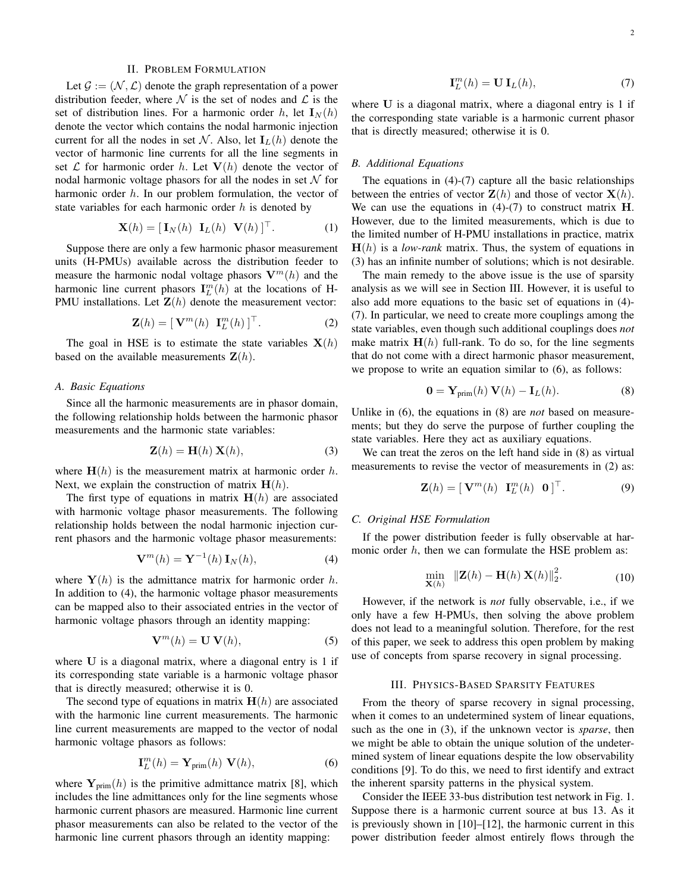# II. PROBLEM FORMULATION

Let  $\mathcal{G} := (\mathcal{N}, \mathcal{L})$  denote the graph representation of a power distribution feeder, where  $\mathcal N$  is the set of nodes and  $\mathcal L$  is the set of distribution lines. For a harmonic order h, let  $\mathbf{I}_N(h)$ denote the vector which contains the nodal harmonic injection current for all the nodes in set N. Also, let  $I_L(h)$  denote the vector of harmonic line currents for all the line segments in set  $\mathcal L$  for harmonic order h. Let  $V(h)$  denote the vector of nodal harmonic voltage phasors for all the nodes in set  $N$  for harmonic order  $h$ . In our problem formulation, the vector of state variables for each harmonic order  $h$  is denoted by

$$
\mathbf{X}(h) = [\mathbf{I}_N(h) \ \mathbf{I}_L(h) \ \mathbf{V}(h)]^\top. \tag{1}
$$

Suppose there are only a few harmonic phasor measurement units (H-PMUs) available across the distribution feeder to measure the harmonic nodal voltage phasors  $V^m(h)$  and the harmonic line current phasors  $\mathbf{I}_{L}^{m}(h)$  at the locations of H-PMU installations. Let  $\mathbf{Z}(h)$  denote the measurement vector:

$$
\mathbf{Z}(h) = [\mathbf{V}^m(h) \ \mathbf{I}_L^m(h)]^\top. \tag{2}
$$

The goal in HSE is to estimate the state variables  $X(h)$ based on the available measurements  $\mathbf{Z}(h)$ .

## *A. Basic Equations*

Since all the harmonic measurements are in phasor domain, the following relationship holds between the harmonic phasor measurements and the harmonic state variables:

$$
\mathbf{Z}(h) = \mathbf{H}(h) \mathbf{X}(h),\tag{3}
$$

where  $H(h)$  is the measurement matrix at harmonic order h. Next, we explain the construction of matrix  $H(h)$ .

The first type of equations in matrix  $H(h)$  are associated with harmonic voltage phasor measurements. The following relationship holds between the nodal harmonic injection current phasors and the harmonic voltage phasor measurements:

$$
\mathbf{V}^m(h) = \mathbf{Y}^{-1}(h) \mathbf{I}_N(h), \tag{4}
$$

where  $Y(h)$  is the admittance matrix for harmonic order h. In addition to (4), the harmonic voltage phasor measurements can be mapped also to their associated entries in the vector of harmonic voltage phasors through an identity mapping:

$$
\mathbf{V}^m(h) = \mathbf{U} \,\mathbf{V}(h),\tag{5}
$$

where U is a diagonal matrix, where a diagonal entry is 1 if its corresponding state variable is a harmonic voltage phasor that is directly measured; otherwise it is 0.

The second type of equations in matrix  $H(h)$  are associated with the harmonic line current measurements. The harmonic line current measurements are mapped to the vector of nodal harmonic voltage phasors as follows:

$$
\mathbf{I}_L^m(h) = \mathbf{Y}_{\text{prim}}(h) \ \mathbf{V}(h),\tag{6}
$$

where  $Y_{\text{prim}}(h)$  is the primitive admittance matrix [8], which includes the line admittances only for the line segments whose harmonic current phasors are measured. Harmonic line current phasor measurements can also be related to the vector of the harmonic line current phasors through an identity mapping:

$$
\mathbf{I}_L^m(h) = \mathbf{U} \mathbf{I}_L(h),\tag{7}
$$

where U is a diagonal matrix, where a diagonal entry is 1 if the corresponding state variable is a harmonic current phasor that is directly measured; otherwise it is 0.

## *B. Additional Equations*

The equations in  $(4)-(7)$  capture all the basic relationships between the entries of vector  $\mathbf{Z}(h)$  and those of vector  $\mathbf{X}(h)$ . We can use the equations in  $(4)-(7)$  to construct matrix **H**. However, due to the limited measurements, which is due to the limited number of H-PMU installations in practice, matrix  $H(h)$  is a *low-rank* matrix. Thus, the system of equations in (3) has an infinite number of solutions; which is not desirable.

The main remedy to the above issue is the use of sparsity analysis as we will see in Section III. However, it is useful to also add more equations to the basic set of equations in (4)- (7). In particular, we need to create more couplings among the state variables, even though such additional couplings does *not* make matrix  $H(h)$  full-rank. To do so, for the line segments that do not come with a direct harmonic phasor measurement, we propose to write an equation similar to (6), as follows:

$$
\mathbf{0} = \mathbf{Y}_{\text{prim}}(h) \mathbf{V}(h) - \mathbf{I}_L(h). \tag{8}
$$

Unlike in (6), the equations in (8) are *not* based on measurements; but they do serve the purpose of further coupling the state variables. Here they act as auxiliary equations.

We can treat the zeros on the left hand side in (8) as virtual measurements to revise the vector of measurements in (2) as:

$$
\mathbf{Z}(h) = [\mathbf{V}^m(h) \ \mathbf{I}_L^m(h) \ \mathbf{0}]^\top. \tag{9}
$$

# *C. Original HSE Formulation*

If the power distribution feeder is fully observable at harmonic order  $h$ , then we can formulate the HSE problem as:

$$
\min_{\mathbf{X}(h)} \; \| \mathbf{Z}(h) - \mathbf{H}(h) \; \mathbf{X}(h) \|_{2}^{2}.
$$
 (10)

However, if the network is *not* fully observable, i.e., if we only have a few H-PMUs, then solving the above problem does not lead to a meaningful solution. Therefore, for the rest of this paper, we seek to address this open problem by making use of concepts from sparse recovery in signal processing.

# III. PHYSICS-BASED SPARSITY FEATURES

From the theory of sparse recovery in signal processing, when it comes to an undetermined system of linear equations, such as the one in (3), if the unknown vector is *sparse*, then we might be able to obtain the unique solution of the undetermined system of linear equations despite the low observability conditions [9]. To do this, we need to first identify and extract the inherent sparsity patterns in the physical system.

Consider the IEEE 33-bus distribution test network in Fig. 1. Suppose there is a harmonic current source at bus 13. As it is previously shown in [10]–[12], the harmonic current in this power distribution feeder almost entirely flows through the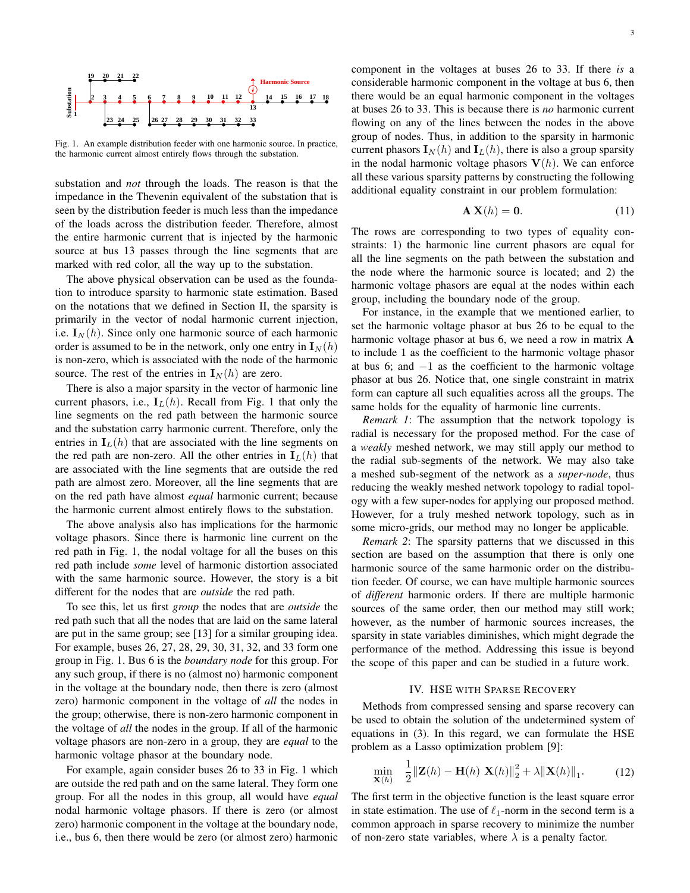

Fig. 1. An example distribution feeder with one harmonic source. In practice, the harmonic current almost entirely flows through the substation.

substation and *not* through the loads. The reason is that the impedance in the Thevenin equivalent of the substation that is seen by the distribution feeder is much less than the impedance of the loads across the distribution feeder. Therefore, almost the entire harmonic current that is injected by the harmonic source at bus 13 passes through the line segments that are marked with red color, all the way up to the substation.

The above physical observation can be used as the foundation to introduce sparsity to harmonic state estimation. Based on the notations that we defined in Section II, the sparsity is primarily in the vector of nodal harmonic current injection, i.e.  $I_N(h)$ . Since only one harmonic source of each harmonic order is assumed to be in the network, only one entry in  $I_N(h)$ is non-zero, which is associated with the node of the harmonic source. The rest of the entries in  $I_N(h)$  are zero.

There is also a major sparsity in the vector of harmonic line current phasors, i.e.,  $I_L(h)$ . Recall from Fig. 1 that only the line segments on the red path between the harmonic source and the substation carry harmonic current. Therefore, only the entries in  $I_L(h)$  that are associated with the line segments on the red path are non-zero. All the other entries in  $I_L(h)$  that are associated with the line segments that are outside the red path are almost zero. Moreover, all the line segments that are on the red path have almost *equal* harmonic current; because the harmonic current almost entirely flows to the substation.

The above analysis also has implications for the harmonic voltage phasors. Since there is harmonic line current on the red path in Fig. 1, the nodal voltage for all the buses on this red path include *some* level of harmonic distortion associated with the same harmonic source. However, the story is a bit different for the nodes that are *outside* the red path.

To see this, let us first *group* the nodes that are *outside* the red path such that all the nodes that are laid on the same lateral are put in the same group; see [13] for a similar grouping idea. For example, buses 26, 27, 28, 29, 30, 31, 32, and 33 form one group in Fig. 1. Bus 6 is the *boundary node* for this group. For any such group, if there is no (almost no) harmonic component in the voltage at the boundary node, then there is zero (almost zero) harmonic component in the voltage of *all* the nodes in the group; otherwise, there is non-zero harmonic component in the voltage of *all* the nodes in the group. If all of the harmonic voltage phasors are non-zero in a group, they are *equal* to the harmonic voltage phasor at the boundary node.

For example, again consider buses 26 to 33 in Fig. 1 which are outside the red path and on the same lateral. They form one group. For all the nodes in this group, all would have *equal* nodal harmonic voltage phasors. If there is zero (or almost zero) harmonic component in the voltage at the boundary node, i.e., bus 6, then there would be zero (or almost zero) harmonic

component in the voltages at buses 26 to 33. If there *is* a considerable harmonic component in the voltage at bus 6, then there would be an equal harmonic component in the voltages at buses 26 to 33. This is because there is *no* harmonic current flowing on any of the lines between the nodes in the above group of nodes. Thus, in addition to the sparsity in harmonic current phasors  $\mathbf{I}_N(h)$  and  $\mathbf{I}_L(h)$ , there is also a group sparsity in the nodal harmonic voltage phasors  $V(h)$ . We can enforce all these various sparsity patterns by constructing the following additional equality constraint in our problem formulation:

$$
\mathbf{A} \mathbf{X}(h) = \mathbf{0}.\tag{11}
$$

The rows are corresponding to two types of equality constraints: 1) the harmonic line current phasors are equal for all the line segments on the path between the substation and the node where the harmonic source is located; and 2) the harmonic voltage phasors are equal at the nodes within each group, including the boundary node of the group.

For instance, in the example that we mentioned earlier, to set the harmonic voltage phasor at bus 26 to be equal to the harmonic voltage phasor at bus 6, we need a row in matrix A to include 1 as the coefficient to the harmonic voltage phasor at bus 6; and −1 as the coefficient to the harmonic voltage phasor at bus 26. Notice that, one single constraint in matrix form can capture all such equalities across all the groups. The same holds for the equality of harmonic line currents.

*Remark 1*: The assumption that the network topology is radial is necessary for the proposed method. For the case of a *weakly* meshed network, we may still apply our method to the radial sub-segments of the network. We may also take a meshed sub-segment of the network as a *super-node*, thus reducing the weakly meshed network topology to radial topology with a few super-nodes for applying our proposed method. However, for a truly meshed network topology, such as in some micro-grids, our method may no longer be applicable.

*Remark 2*: The sparsity patterns that we discussed in this section are based on the assumption that there is only one harmonic source of the same harmonic order on the distribution feeder. Of course, we can have multiple harmonic sources of *different* harmonic orders. If there are multiple harmonic sources of the same order, then our method may still work; however, as the number of harmonic sources increases, the sparsity in state variables diminishes, which might degrade the performance of the method. Addressing this issue is beyond the scope of this paper and can be studied in a future work.

# IV. HSE WITH SPARSE RECOVERY

Methods from compressed sensing and sparse recovery can be used to obtain the solution of the undetermined system of equations in (3). In this regard, we can formulate the HSE problem as a Lasso optimization problem [9]:

$$
\min_{\mathbf{X}(h)} \quad \frac{1}{2} \|\mathbf{Z}(h) - \mathbf{H}(h) \|\mathbf{X}(h)\|_{2}^{2} + \lambda \|\mathbf{X}(h)\|_{1}.\tag{12}
$$

The first term in the objective function is the least square error in state estimation. The use of  $\ell_1$ -norm in the second term is a common approach in sparse recovery to minimize the number of non-zero state variables, where  $\lambda$  is a penalty factor.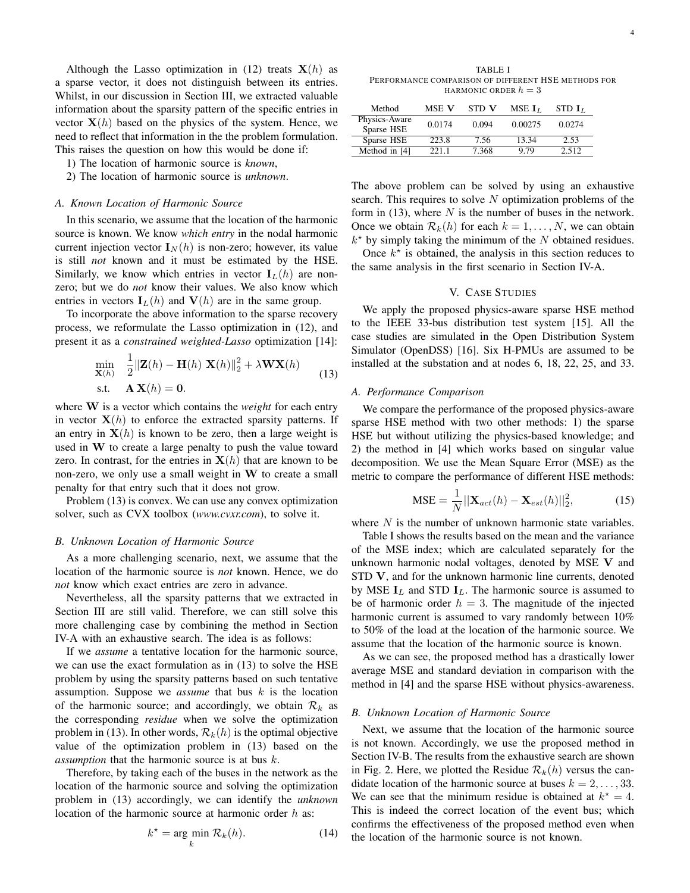Although the Lasso optimization in (12) treats  $X(h)$  as a sparse vector, it does not distinguish between its entries. Whilst, in our discussion in Section III, we extracted valuable information about the sparsity pattern of the specific entries in vector  $X(h)$  based on the physics of the system. Hence, we need to reflect that information in the the problem formulation. This raises the question on how this would be done if:

- 1) The location of harmonic source is *known*,
- 2) The location of harmonic source is *unknown*.

#### *A. Known Location of Harmonic Source*

In this scenario, we assume that the location of the harmonic source is known. We know *which entry* in the nodal harmonic current injection vector  $I_N(h)$  is non-zero; however, its value is still *not* known and it must be estimated by the HSE. Similarly, we know which entries in vector  $I_L(h)$  are nonzero; but we do *not* know their values. We also know which entries in vectors  $I_L(h)$  and  $V(h)$  are in the same group.

To incorporate the above information to the sparse recovery process, we reformulate the Lasso optimization in (12), and present it as a *constrained weighted-Lasso* optimization [14]:

$$
\min_{\mathbf{X}(h)} \quad \frac{1}{2} \|\mathbf{Z}(h) - \mathbf{H}(h) \|\mathbf{X}(h)\|_{2}^{2} + \lambda \mathbf{W} \mathbf{X}(h)
$$
\n
$$
\text{s.t.} \quad \mathbf{A} \mathbf{X}(h) = \mathbf{0}.\tag{13}
$$

where W is a vector which contains the *weight* for each entry in vector  $X(h)$  to enforce the extracted sparsity patterns. If an entry in  $X(h)$  is known to be zero, then a large weight is used in W to create a large penalty to push the value toward zero. In contrast, for the entries in  $X(h)$  that are known to be non-zero, we only use a small weight in W to create a small penalty for that entry such that it does not grow.

Problem (13) is convex. We can use any convex optimization solver, such as CVX toolbox (*www.cvxr.com*), to solve it.

#### *B. Unknown Location of Harmonic Source*

As a more challenging scenario, next, we assume that the location of the harmonic source is *not* known. Hence, we do *not* know which exact entries are zero in advance.

Nevertheless, all the sparsity patterns that we extracted in Section III are still valid. Therefore, we can still solve this more challenging case by combining the method in Section IV-A with an exhaustive search. The idea is as follows:

If we *assume* a tentative location for the harmonic source, we can use the exact formulation as in (13) to solve the HSE problem by using the sparsity patterns based on such tentative assumption. Suppose we *assume* that bus k is the location of the harmonic source; and accordingly, we obtain  $\mathcal{R}_k$  as the corresponding *residue* when we solve the optimization problem in (13). In other words,  $\mathcal{R}_k(h)$  is the optimal objective value of the optimization problem in (13) based on the *assumption* that the harmonic source is at bus k.

Therefore, by taking each of the buses in the network as the location of the harmonic source and solving the optimization problem in (13) accordingly, we can identify the *unknown* location of the harmonic source at harmonic order h as:

$$
k^* = \underset{k}{\text{arg min}} \mathcal{R}_k(h). \tag{14}
$$

| Method                      | MSE V  | STD V | MSE $I_L$ | STD $I_L$ |
|-----------------------------|--------|-------|-----------|-----------|
| Physics-Aware<br>Sparse HSE | 0.0174 | 0.094 | 0.00275   | 0.0274    |
| Sparse HSE                  | 223.8  | 7.56  | 13.34     | 2.53      |
| Method in [4]               | 221.1  | 7.368 | 9.79      | 2.512     |

The above problem can be solved by using an exhaustive search. This requires to solve  $N$  optimization problems of the form in (13), where  $N$  is the number of buses in the network. Once we obtain  $\mathcal{R}_k(h)$  for each  $k = 1, \ldots, N$ , we can obtain  $k^*$  by simply taking the minimum of the N obtained residues.

Once  $k^*$  is obtained, the analysis in this section reduces to the same analysis in the first scenario in Section IV-A.

# V. CASE STUDIES

We apply the proposed physics-aware sparse HSE method to the IEEE 33-bus distribution test system [15]. All the case studies are simulated in the Open Distribution System Simulator (OpenDSS) [16]. Six H-PMUs are assumed to be installed at the substation and at nodes 6, 18, 22, 25, and 33.

## *A. Performance Comparison*

We compare the performance of the proposed physics-aware sparse HSE method with two other methods: 1) the sparse HSE but without utilizing the physics-based knowledge; and 2) the method in [4] which works based on singular value decomposition. We use the Mean Square Error (MSE) as the metric to compare the performance of different HSE methods:

$$
\text{MSE} = \frac{1}{N} ||\mathbf{X}_{act}(h) - \mathbf{X}_{est}(h)||_2^2,
$$
 (15)

where  $N$  is the number of unknown harmonic state variables.

Table I shows the results based on the mean and the variance of the MSE index; which are calculated separately for the unknown harmonic nodal voltages, denoted by MSE V and STD V, and for the unknown harmonic line currents, denoted by MSE  $I_L$  and STD  $I_L$ . The harmonic source is assumed to be of harmonic order  $h = 3$ . The magnitude of the injected harmonic current is assumed to vary randomly between 10% to 50% of the load at the location of the harmonic source. We assume that the location of the harmonic source is known.

As we can see, the proposed method has a drastically lower average MSE and standard deviation in comparison with the method in [4] and the sparse HSE without physics-awareness.

#### *B. Unknown Location of Harmonic Source*

Next, we assume that the location of the harmonic source is not known. Accordingly, we use the proposed method in Section IV-B. The results from the exhaustive search are shown in Fig. 2. Here, we plotted the Residue  $\mathcal{R}_k(h)$  versus the candidate location of the harmonic source at buses  $k = 2, \ldots, 33$ . We can see that the minimum residue is obtained at  $k^* = 4$ . This is indeed the correct location of the event bus; which confirms the effectiveness of the proposed method even when the location of the harmonic source is not known.